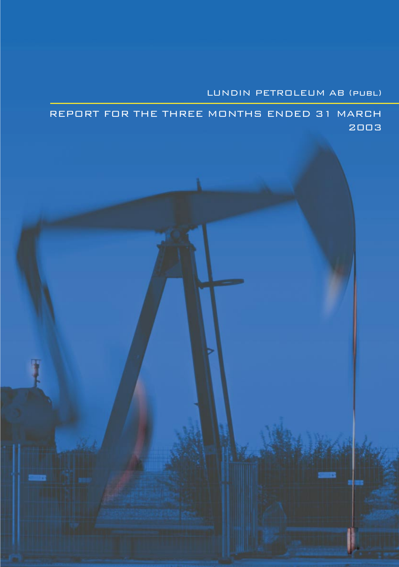# LUNDIN PETROLEUM AB (publ)

REPORT FOR THE THREE MONTHS ENDED 31 MARCH 2003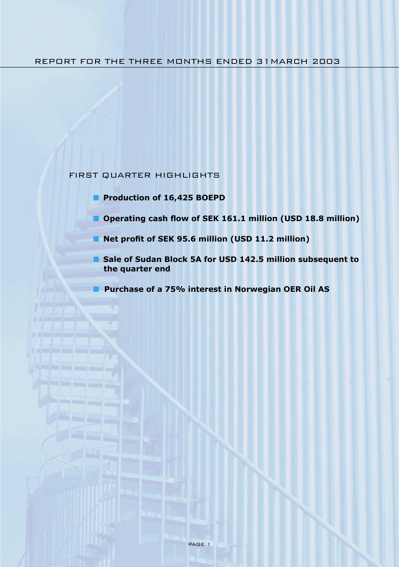## FIRST QUARTER HIGHLIGHTS

- **Production of 16,425 BOEPD**
- **Operating cash flow of SEK 161.1 million (USD 18.8 million)**
- **Net profit of SEK 95.6 million (USD 11.2 million)**
- **Sale of Sudan Block 5A for USD 142.5 million subsequent to the quarter end**
- Purchase of a 75% interest in Norwegian OER Oil AS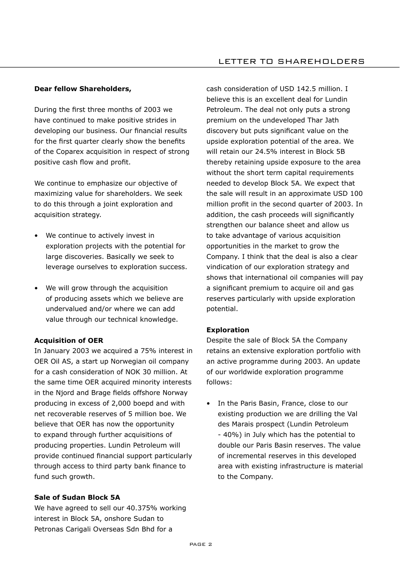#### **Dear fellow Shareholders,**

During the first three months of 2003 we have continued to make positive strides in developing our business. Our financial results for the first quarter clearly show the benefits of the Coparex acquisition in respect of strong positive cash flow and profit.

We continue to emphasize our objective of maximizing value for shareholders. We seek to do this through a joint exploration and acquisition strategy.

- We continue to actively invest in exploration projects with the potential for large discoveries. Basically we seek to leverage ourselves to exploration success.
- We will grow through the acquisition of producing assets which we believe are undervalued and/or where we can add value through our technical knowledge.

#### **Acquisition of OER**

In January 2003 we acquired a 75% interest in OER Oil AS, a start up Norwegian oil company for a cash consideration of NOK 30 million. At the same time OER acquired minority interests in the Njord and Brage fields offshore Norway producing in excess of 2,000 boepd and with net recoverable reserves of 5 million boe. We believe that OER has now the opportunity to expand through further acquisitions of producing properties. Lundin Petroleum will provide continued financial support particularly through access to third party bank finance to fund such growth.

#### **Sale of Sudan Block 5A**

We have agreed to sell our 40.375% working interest in Block 5A, onshore Sudan to Petronas Carigali Overseas Sdn Bhd for a

cash consideration of USD 142.5 million. I believe this is an excellent deal for Lundin Petroleum. The deal not only puts a strong premium on the undeveloped Thar Jath discovery but puts significant value on the upside exploration potential of the area. We will retain our 24.5% interest in Block 5B thereby retaining upside exposure to the area without the short term capital requirements needed to develop Block 5A. We expect that the sale will result in an approximate USD 100 million profit in the second quarter of 2003. In addition, the cash proceeds will significantly strengthen our balance sheet and allow us to take advantage of various acquisition opportunities in the market to grow the Company. I think that the deal is also a clear vindication of our exploration strategy and shows that international oil companies will pay a significant premium to acquire oil and gas reserves particularly with upside exploration potential.

#### **Exploration**

Despite the sale of Block 5A the Company retains an extensive exploration portfolio with an active programme during 2003. An update of our worldwide exploration programme follows:

• In the Paris Basin, France, close to our existing production we are drilling the Val des Marais prospect (Lundin Petroleum - 40%) in July which has the potential to double our Paris Basin reserves. The value of incremental reserves in this developed area with existing infrastructure is material to the Company.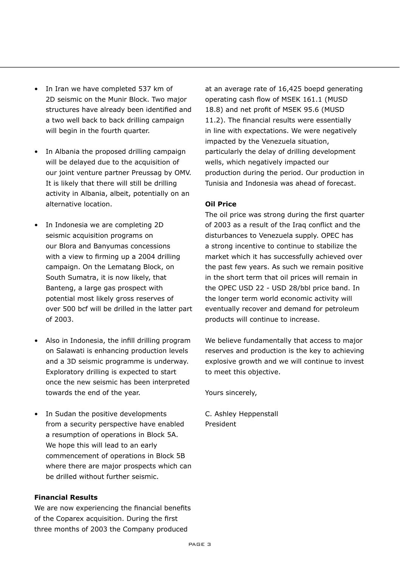- In Iran we have completed 537 km of 2D seismic on the Munir Block. Two major structures have already been identified and a two well back to back drilling campaign will begin in the fourth quarter.
- In Albania the proposed drilling campaign will be delayed due to the acquisition of our joint venture partner Preussag by OMV. It is likely that there will still be drilling activity in Albania, albeit, potentially on an alternative location.
- In Indonesia we are completing 2D seismic acquisition programs on our Blora and Banyumas concessions with a view to firming up a 2004 drilling campaign. On the Lematang Block, on South Sumatra, it is now likely, that Banteng, a large gas prospect with potential most likely gross reserves of over 500 bcf will be drilled in the latter part of 2003.
- Also in Indonesia, the infill drilling program on Salawati is enhancing production levels and a 3D seismic programme is underway. Exploratory drilling is expected to start once the new seismic has been interpreted towards the end of the year.
- In Sudan the positive developments from a security perspective have enabled a resumption of operations in Block 5A. We hope this will lead to an early commencement of operations in Block 5B where there are major prospects which can be drilled without further seismic.

#### **Financial Results**

We are now experiencing the financial benefits of the Coparex acquisition. During the first three months of 2003 the Company produced

at an average rate of 16,425 boepd generating operating cash flow of MSEK 161.1 (MUSD 18.8) and net profit of MSEK 95.6 (MUSD 11.2). The financial results were essentially in line with expectations. We were negatively impacted by the Venezuela situation, particularly the delay of drilling development wells, which negatively impacted our production during the period. Our production in Tunisia and Indonesia was ahead of forecast.

#### **Oil Price**

The oil price was strong during the first quarter of 2003 as a result of the Iraq conflict and the disturbances to Venezuela supply. OPEC has a strong incentive to continue to stabilize the market which it has successfully achieved over the past few years. As such we remain positive in the short term that oil prices will remain in the OPEC USD 22 - USD 28/bbl price band. In the longer term world economic activity will eventually recover and demand for petroleum products will continue to increase.

We believe fundamentally that access to major reserves and production is the key to achieving explosive growth and we will continue to invest to meet this objective.

Yours sincerely,

C. Ashley Heppenstall President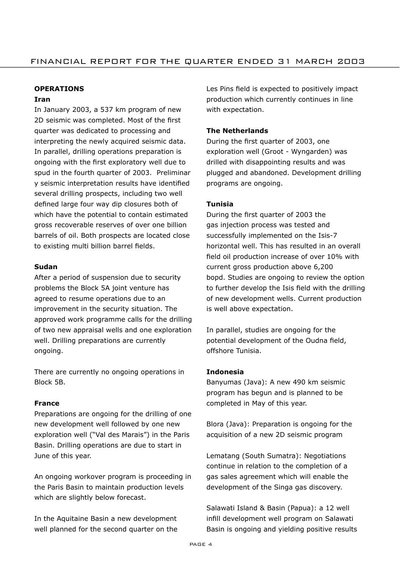## **OPERATIONS**

## **Iran**

In January 2003, a 537 km program of new 2D seismic was completed. Most of the first quarter was dedicated to processing and interpreting the newly acquired seismic data. In parallel, drilling operations preparation is ongoing with the first exploratory well due to spud in the fourth quarter of 2003. Preliminar y seismic interpretation results have identified several drilling prospects, including two well defined large four way dip closures both of which have the potential to contain estimated gross recoverable reserves of over one billion barrels of oil. Both prospects are located close to existing multi billion barrel fields.

### **Sudan**

After a period of suspension due to security problems the Block 5A joint venture has agreed to resume operations due to an improvement in the security situation. The approved work programme calls for the drilling of two new appraisal wells and one exploration well. Drilling preparations are currently ongoing.

There are currently no ongoing operations in Block 5B.

## **France**

Preparations are ongoing for the drilling of one new development well followed by one new exploration well ("Val des Marais") in the Paris Basin. Drilling operations are due to start in June of this year.

An ongoing workover program is proceeding in the Paris Basin to maintain production levels which are slightly below forecast.

In the Aquitaine Basin a new development well planned for the second quarter on the Les Pins field is expected to positively impact production which currently continues in line with expectation.

## **The Netherlands**

During the first quarter of 2003, one exploration well (Groot - Wyngarden) was drilled with disappointing results and was plugged and abandoned. Development drilling programs are ongoing.

## **Tunisia**

During the first quarter of 2003 the gas injection process was tested and successfully implemented on the Isis-7 horizontal well. This has resulted in an overall field oil production increase of over 10% with current gross production above 6,200 bopd. Studies are ongoing to review the option to further develop the Isis field with the drilling of new development wells. Current production is well above expectation.

In parallel, studies are ongoing for the potential development of the Oudna field, offshore Tunisia.

## **Indonesia**

Banyumas (Java): A new 490 km seismic program has begun and is planned to be completed in May of this year.

Blora (Java): Preparation is ongoing for the acquisition of a new 2D seismic program

Lematang (South Sumatra): Negotiations continue in relation to the completion of a gas sales agreement which will enable the development of the Singa gas discovery.

Salawati Island & Basin (Papua): a 12 well infill development well program on Salawati Basin is ongoing and yielding positive results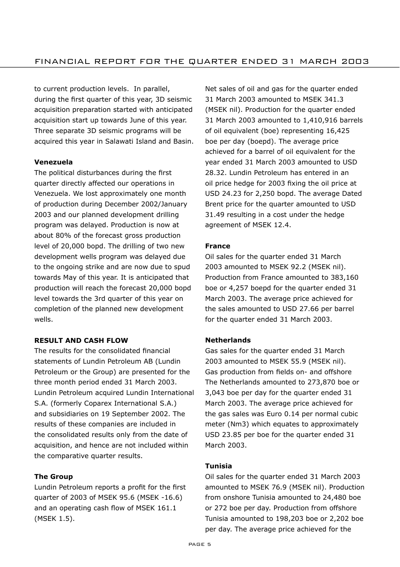to current production levels. In parallel, during the first quarter of this year, 3D seismic acquisition preparation started with anticipated acquisition start up towards June of this year. Three separate 3D seismic programs will be acquired this year in Salawati Island and Basin.

## **Venezuela**

The political disturbances during the first quarter directly affected our operations in Venezuela. We lost approximately one month of production during December 2002/January 2003 and our planned development drilling program was delayed. Production is now at about 80% of the forecast gross production level of 20,000 bopd. The drilling of two new development wells program was delayed due to the ongoing strike and are now due to spud towards May of this year. It is anticipated that production will reach the forecast 20,000 bopd level towards the 3rd quarter of this year on completion of the planned new development wells.

## **RESULT AND CASH FLOW**

The results for the consolidated financial statements of Lundin Petroleum AB (Lundin Petroleum or the Group) are presented for the three month period ended 31 March 2003. Lundin Petroleum acquired Lundin International S.A. (formerly Coparex International S.A.) and subsidiaries on 19 September 2002. The results of these companies are included in the consolidated results only from the date of acquisition, and hence are not included within the comparative quarter results.

## **The Group**

Lundin Petroleum reports a profit for the first quarter of 2003 of MSEK 95.6 (MSEK -16.6) and an operating cash flow of MSEK 161.1 (MSEK 1.5).

Net sales of oil and gas for the quarter ended 31 March 2003 amounted to MSEK 341.3 (MSEK nil). Production for the quarter ended 31 March 2003 amounted to 1,410,916 barrels of oil equivalent (boe) representing 16,425 boe per day (boepd). The average price achieved for a barrel of oil equivalent for the year ended 31 March 2003 amounted to USD 28.32. Lundin Petroleum has entered in an oil price hedge for 2003 fixing the oil price at USD 24.23 for 2,250 bopd. The average Dated Brent price for the quarter amounted to USD 31.49 resulting in a cost under the hedge agreement of MSEK 12.4.

## **France**

Oil sales for the quarter ended 31 March 2003 amounted to MSEK 92.2 (MSEK nil). Production from France amounted to 383,160 boe or 4,257 boepd for the quarter ended 31 March 2003. The average price achieved for the sales amounted to USD 27.66 per barrel for the quarter ended 31 March 2003.

## **Netherlands**

Gas sales for the quarter ended 31 March 2003 amounted to MSEK 55.9 (MSEK nil). Gas production from fields on- and offshore The Netherlands amounted to 273,870 boe or 3,043 boe per day for the quarter ended 31 March 2003. The average price achieved for the gas sales was Euro 0.14 per normal cubic meter (Nm3) which equates to approximately USD 23.85 per boe for the quarter ended 31 March 2003.

## **Tunisia**

Oil sales for the quarter ended 31 March 2003 amounted to MSEK 76.9 (MSEK nil). Production from onshore Tunisia amounted to 24,480 boe or 272 boe per day. Production from offshore Tunisia amounted to 198,203 boe or 2,202 boe per day. The average price achieved for the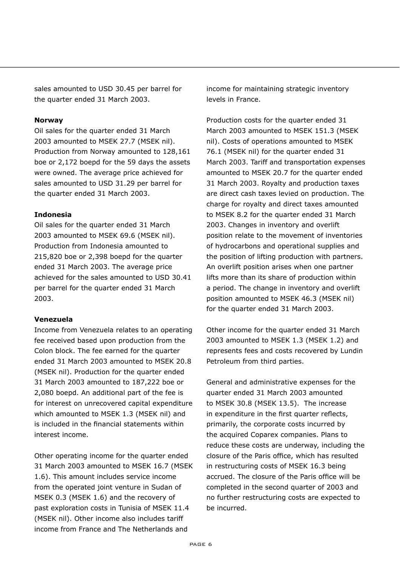sales amounted to USD 30.45 per barrel for the quarter ended 31 March 2003.

#### **Norway**

Oil sales for the quarter ended 31 March 2003 amounted to MSEK 27.7 (MSEK nil). Production from Norway amounted to 128,161 boe or 2,172 boepd for the 59 days the assets were owned. The average price achieved for sales amounted to USD 31.29 per barrel for the quarter ended 31 March 2003.

### **Indonesia**

Oil sales for the quarter ended 31 March 2003 amounted to MSEK 69.6 (MSEK nil). Production from Indonesia amounted to 215,820 boe or 2,398 boepd for the quarter ended 31 March 2003. The average price achieved for the sales amounted to USD 30.41 per barrel for the quarter ended 31 March 2003.

#### **Venezuela**

Income from Venezuela relates to an operating fee received based upon production from the Colon block. The fee earned for the quarter ended 31 March 2003 amounted to MSEK 20.8 (MSEK nil). Production for the quarter ended 31 March 2003 amounted to 187,222 boe or 2,080 boepd. An additional part of the fee is for interest on unrecovered capital expenditure which amounted to MSEK 1.3 (MSEK nil) and is included in the financial statements within interest income.

Other operating income for the quarter ended 31 March 2003 amounted to MSEK 16.7 (MSEK 1.6). This amount includes service income from the operated joint venture in Sudan of MSEK 0.3 (MSEK 1.6) and the recovery of past exploration costs in Tunisia of MSEK 11.4 (MSEK nil). Other income also includes tariff income from France and The Netherlands and

income for maintaining strategic inventory levels in France.

Production costs for the quarter ended 31 March 2003 amounted to MSEK 151.3 (MSEK nil). Costs of operations amounted to MSEK 76.1 (MSEK nil) for the quarter ended 31 March 2003. Tariff and transportation expenses amounted to MSEK 20.7 for the quarter ended 31 March 2003. Royalty and production taxes are direct cash taxes levied on production. The charge for royalty and direct taxes amounted to MSEK 8.2 for the quarter ended 31 March 2003. Changes in inventory and overlift position relate to the movement of inventories of hydrocarbons and operational supplies and the position of lifting production with partners. An overlift position arises when one partner lifts more than its share of production within a period. The change in inventory and overlift position amounted to MSEK 46.3 (MSEK nil) for the quarter ended 31 March 2003.

Other income for the quarter ended 31 March 2003 amounted to MSEK 1.3 (MSEK 1.2) and represents fees and costs recovered by Lundin Petroleum from third parties.

General and administrative expenses for the quarter ended 31 March 2003 amounted to MSEK 30.8 (MSEK 13.5). The increase in expenditure in the first quarter reflects, primarily, the corporate costs incurred by the acquired Coparex companies. Plans to reduce these costs are underway, including the closure of the Paris office, which has resulted in restructuring costs of MSEK 16.3 being accrued. The closure of the Paris office will be completed in the second quarter of 2003 and no further restructuring costs are expected to be incurred.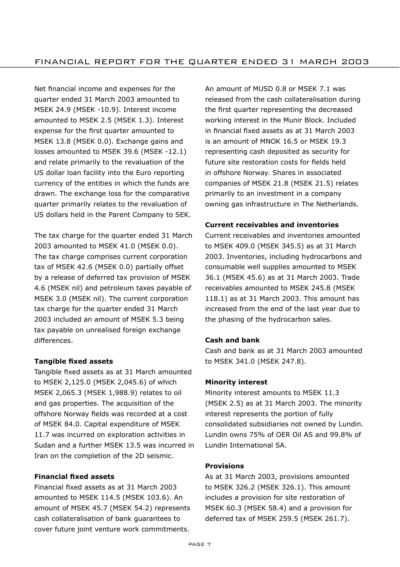Net financial income and expenses for the quarter ended 31 March 2003 amounted to MSEK 24.9 (MSEK -10.9). Interest income amounted to MSEK 2.5 (MSEK 1.3). Interest expense for the first quarter amounted to MSEK 13.8 (MSEK 0.0). Exchange gains and losses amounted to MSEK 39.6 (MSEK -12.1) and relate primarily to the revaluation of the US dollar loan facility into the Euro reporting currency of the entities in which the funds are drawn. The exchange loss for the comparative quarter primarily relates to the revaluation of US dollars held in the Parent Company to SEK.

The tax charge for the quarter ended 31 March 2003 amounted to MSEK 41.0 (MSEK 0.0). The tax charge comprises current corporation tax of MSEK 42.6 (MSEK 0.0) partially offset by a release of deferred tax provision of MSEK 4.6 (MSEK nil) and petroleum taxes payable of MSEK 3.0 (MSEK nil). The current corporation tax charge for the quarter ended 31 March 2003 included an amount of MSEK 5.3 being tax payable on unrealised foreign exchange differences.

## **Tangible fixed assets**

Tangible fixed assets as at 31 March amounted to MSEK 2,125.0 (MSEK 2,045.6) of which MSEK 2,065.3 (MSEK 1,988.9) relates to oil and gas properties. The acquisition of the offshore Norway fields was recorded at a cost of MSEK 84.0. Capital expenditure of MSEK 11.7 was incurred on exploration activities in Sudan and a further MSEK 13.5 was incurred in Iran on the completion of the 2D seismic.

## **Financial fixed assets**

Financial fixed assets as at 31 March 2003 amounted to MSEK 114.5 (MSEK 103.6). An amount of MSEK 45.7 (MSEK 54.2) represents cash collateralisation of bank guarantees to cover future joint venture work commitments.

An amount of MUSD 0.8 or MSEK 7.1 was released from the cash collateralisation during the first quarter representing the decreased working interest in the Munir Block. Included in financial fixed assets as at 31 March 2003 is an amount of MNOK 16.5 or MSEK 19.3 representing cash deposited as security for future site restoration costs for fields held in offshore Norway. Shares in associated companies of MSEK 21.8 (MSEK 21.5) relates primarily to an investment in a company owning gas infrastructure in The Netherlands.

### **Current receivables and inventories**

Current receivables and inventories amounted to MSEK 409.0 (MSEK 345.5) as at 31 March 2003. Inventories, including hydrocarbons and consumable well supplies amounted to MSEK 36.1 (MSEK 45.6) as at 31 March 2003. Trade receivables amounted to MSEK 245.8 (MSEK 118.1) as at 31 March 2003. This amount has increased from the end of the last year due to the phasing of the hydrocarbon sales.

#### **Cash and bank**

Cash and bank as at 31 March 2003 amounted to MSEK 341.0 (MSEK 247.8).

#### **Minority interest**

Minority interest amounts to MSEK 11.3 (MSEK 2.5) as at 31 March 2003. The minority interest represents the portion of fully consolidated subsidiaries not owned by Lundin. Lundin owns 75% of OER Oil AS and 99.8% of Lundin International SA.

## **Provisions**

As at 31 March 2003, provisions amounted to MSEK 326.2 (MSEK 326.1). This amount includes a provision for site restoration of MSEK 60.3 (MSEK 58.4) and a provision for deferred tax of MSEK 259.5 (MSEK 261.7).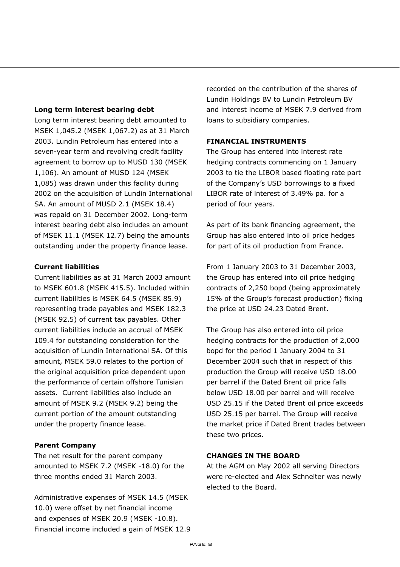#### **Long term interest bearing debt**

Long term interest bearing debt amounted to MSEK 1,045.2 (MSEK 1,067.2) as at 31 March 2003. Lundin Petroleum has entered into a seven-year term and revolving credit facility agreement to borrow up to MUSD 130 (MSEK 1,106). An amount of MUSD 124 (MSEK 1,085) was drawn under this facility during 2002 on the acquisition of Lundin International SA. An amount of MUSD 2.1 (MSEK 18.4) was repaid on 31 December 2002. Long-term interest bearing debt also includes an amount of MSEK 11.1 (MSEK 12.7) being the amounts outstanding under the property finance lease.

#### **Current liabilities**

Current liabilities as at 31 March 2003 amount to MSEK 601.8 (MSEK 415.5). Included within current liabilities is MSEK 64.5 (MSEK 85.9) representing trade payables and MSEK 182.3 (MSEK 92.5) of current tax payables. Other current liabilities include an accrual of MSEK 109.4 for outstanding consideration for the acquisition of Lundin International SA. Of this amount, MSEK 59.0 relates to the portion of the original acquisition price dependent upon the performance of certain offshore Tunisian assets. Current liabilities also include an amount of MSEK 9.2 (MSEK 9.2) being the current portion of the amount outstanding under the property finance lease.

#### **Parent Company**

The net result for the parent company amounted to MSEK 7.2 (MSEK -18.0) for the three months ended 31 March 2003.

Administrative expenses of MSEK 14.5 (MSEK 10.0) were offset by net financial income and expenses of MSEK 20.9 (MSEK -10.8). Financial income included a gain of MSEK 12.9 recorded on the contribution of the shares of Lundin Holdings BV to Lundin Petroleum BV and interest income of MSEK 7.9 derived from loans to subsidiary companies.

#### **FINANCIAL INSTRUMENTS**

The Group has entered into interest rate hedging contracts commencing on 1 January 2003 to tie the LIBOR based floating rate part of the Companyís USD borrowings to a fixed LIBOR rate of interest of 3.49% pa. for a period of four years.

As part of its bank financing agreement, the Group has also entered into oil price hedges for part of its oil production from France.

From 1 January 2003 to 31 December 2003, the Group has entered into oil price hedging contracts of 2,250 bopd (being approximately 15% of the Group's forecast production) fixing the price at USD 24.23 Dated Brent.

The Group has also entered into oil price hedging contracts for the production of 2,000 bopd for the period 1 January 2004 to 31 December 2004 such that in respect of this production the Group will receive USD 18.00 per barrel if the Dated Brent oil price falls below USD 18.00 per barrel and will receive USD 25.15 if the Dated Brent oil price exceeds USD 25.15 per barrel. The Group will receive the market price if Dated Brent trades between these two prices.

## **CHANGES IN THE BOARD**

At the AGM on May 2002 all serving Directors were re-elected and Alex Schneiter was newly elected to the Board.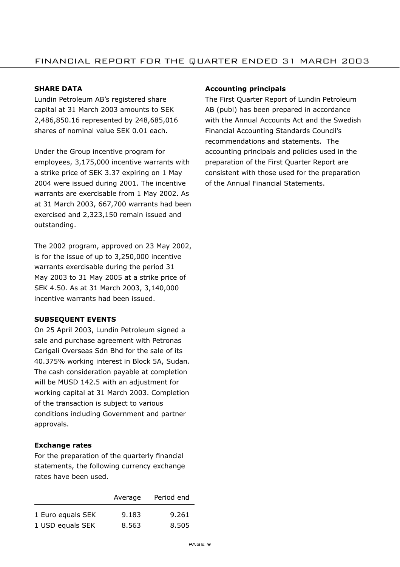#### **SHARE DATA**

Lundin Petroleum ABís registered share capital at 31 March 2003 amounts to SEK 2,486,850.16 represented by 248,685,016 shares of nominal value SEK 0.01 each.

Under the Group incentive program for employees, 3,175,000 incentive warrants with a strike price of SEK 3.37 expiring on 1 May 2004 were issued during 2001. The incentive warrants are exercisable from 1 May 2002. As at 31 March 2003, 667,700 warrants had been exercised and 2,323,150 remain issued and outstanding.

The 2002 program, approved on 23 May 2002, is for the issue of up to 3,250,000 incentive warrants exercisable during the period 31 May 2003 to 31 May 2005 at a strike price of SEK 4.50. As at 31 March 2003, 3,140,000 incentive warrants had been issued.

#### **SUBSEQUENT EVENTS**

On 25 April 2003, Lundin Petroleum signed a sale and purchase agreement with Petronas Carigali Overseas Sdn Bhd for the sale of its 40.375% working interest in Block 5A, Sudan. The cash consideration payable at completion will be MUSD 142.5 with an adjustment for working capital at 31 March 2003. Completion of the transaction is subject to various conditions including Government and partner approvals.

#### **Exchange rates**

For the preparation of the quarterly financial statements, the following currency exchange rates have been used.

|                   | Average | Period end |
|-------------------|---------|------------|
| 1 Euro equals SEK | 9.183   | 9.261      |
| 1 USD equals SEK  | 8.563   | 8.505      |

#### **Accounting principals**

The First Quarter Report of Lundin Petroleum AB (publ) has been prepared in accordance with the Annual Accounts Act and the Swedish Financial Accounting Standards Councilís recommendations and statements. The accounting principals and policies used in the preparation of the First Quarter Report are consistent with those used for the preparation of the Annual Financial Statements.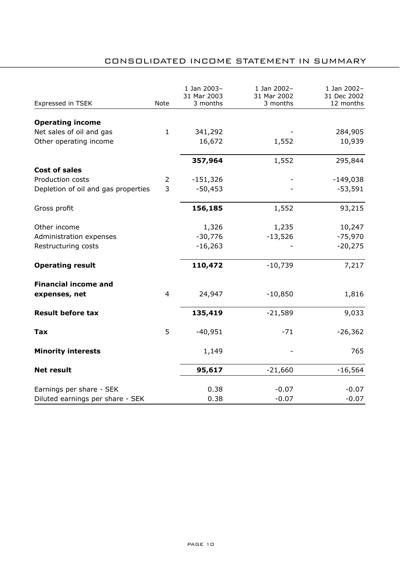# CONSOLIDATED INCOME STATEMENT IN SUMMARY

| Expressed in TSEK                   | Note           | 1 Jan 2003-<br>31 Mar 2003<br>3 months | 1 Jan 2002-<br>31 Mar 2002<br>3 months | 1 Jan 2002-<br>31 Dec 2002<br>12 months |
|-------------------------------------|----------------|----------------------------------------|----------------------------------------|-----------------------------------------|
| <b>Operating income</b>             |                |                                        |                                        |                                         |
| Net sales of oil and gas            | $\mathbf{1}$   | 341,292                                |                                        | 284,905                                 |
| Other operating income              |                | 16,672                                 | 1,552                                  | 10,939                                  |
|                                     |                |                                        |                                        |                                         |
|                                     |                | 357,964                                | 1,552                                  | 295,844                                 |
| <b>Cost of sales</b>                |                |                                        |                                        |                                         |
| Production costs                    | 2              | $-151,326$                             |                                        | $-149,038$                              |
| Depletion of oil and gas properties | 3              | $-50,453$                              |                                        | $-53,591$                               |
| Gross profit                        |                | 156,185                                | 1,552                                  | 93,215                                  |
| Other income                        |                | 1,326                                  | 1,235                                  | 10,247                                  |
| Administration expenses             |                | $-30,776$                              | $-13,526$                              | -75,970                                 |
| Restructuring costs                 |                | $-16,263$                              |                                        | $-20,275$                               |
| <b>Operating result</b>             |                | 110,472                                | $-10,739$                              | 7,217                                   |
| <b>Financial income and</b>         |                |                                        |                                        |                                         |
| expenses, net                       | $\overline{4}$ | 24,947                                 | $-10,850$                              | 1,816                                   |
| <b>Result before tax</b>            |                | 135,419                                | $-21,589$                              | 9,033                                   |
| Tax                                 | 5              | $-40,951$                              | $-71$                                  | $-26,362$                               |
| <b>Minority interests</b>           |                | 1,149                                  |                                        | 765                                     |
| <b>Net result</b>                   |                | 95,617                                 | $-21,660$                              | $-16,564$                               |
| Earnings per share - SEK            |                | 0.38                                   | $-0.07$                                | $-0.07$                                 |
| Diluted earnings per share - SEK    |                | 0.38                                   | $-0.07$                                | $-0.07$                                 |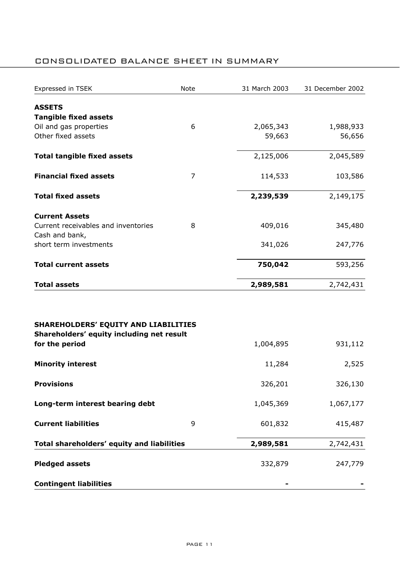## CONSOLIDATED BALANCE SHEET IN SUMMARY

| Expressed in TSEK                                                                                   | Note | 31 March 2003 | 31 December 2002 |
|-----------------------------------------------------------------------------------------------------|------|---------------|------------------|
| <b>ASSETS</b>                                                                                       |      |               |                  |
| <b>Tangible fixed assets</b>                                                                        |      |               |                  |
| Oil and gas properties                                                                              | 6    | 2,065,343     | 1,988,933        |
| Other fixed assets                                                                                  |      | 59,663        | 56,656           |
|                                                                                                     |      |               |                  |
| <b>Total tangible fixed assets</b>                                                                  |      | 2,125,006     | 2,045,589        |
| <b>Financial fixed assets</b>                                                                       | 7    | 114,533       | 103,586          |
| <b>Total fixed assets</b>                                                                           |      | 2,239,539     | 2,149,175        |
| <b>Current Assets</b>                                                                               |      |               |                  |
| Current receivables and inventories                                                                 | 8    | 409,016       | 345,480          |
| Cash and bank,                                                                                      |      |               |                  |
| short term investments                                                                              |      | 341,026       | 247,776          |
| <b>Total current assets</b>                                                                         |      | 750,042       | 593,256          |
| <b>Total assets</b>                                                                                 |      | 2,989,581     | 2,742,431        |
| SHAREHOLDERS' EQUITY AND LIABILITIES<br>Shareholders' equity including net result<br>for the period |      | 1,004,895     | 931,112          |
| <b>Minority interest</b>                                                                            |      | 11,284        | 2,525            |
| <b>Provisions</b>                                                                                   |      | 326,201       | 326,130          |
| Long-term interest bearing debt                                                                     |      | 1,045,369     | 1,067,177        |
| <b>Current liabilities</b>                                                                          | 9    | 601,832       | 415,487          |
| Total shareholders' equity and liabilities                                                          |      | 2,989,581     | 2,742,431        |
| <b>Pledged assets</b>                                                                               |      | 332,879       | 247,779          |
| <b>Contingent liabilities</b>                                                                       |      |               |                  |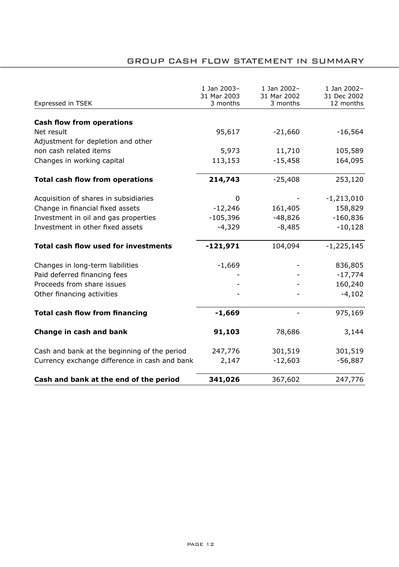## GROUP CASH FLOW STATEMENT IN SUMMARY

| Expressed in TSEK                             | 1 Jan 2003-<br>31 Mar 2003<br>3 months | 1 Jan 2002-<br>31 Mar 2002<br>3 months | 1 Jan 2002-<br>31 Dec 2002<br>12 months |
|-----------------------------------------------|----------------------------------------|----------------------------------------|-----------------------------------------|
|                                               |                                        |                                        |                                         |
| <b>Cash flow from operations</b>              |                                        |                                        |                                         |
| Net result                                    | 95,617                                 | $-21,660$                              | $-16,564$                               |
| Adjustment for depletion and other            |                                        |                                        |                                         |
| non cash related items                        | 5,973                                  | 11,710                                 | 105,589                                 |
| Changes in working capital                    | 113,153                                | $-15,458$                              | 164,095                                 |
| <b>Total cash flow from operations</b>        | 214,743                                | $-25,408$                              | 253,120                                 |
| Acquisition of shares in subsidiaries         | 0                                      |                                        | $-1,213,010$                            |
| Change in financial fixed assets              | $-12,246$                              | 161,405                                | 158,829                                 |
| Investment in oil and gas properties          | $-105,396$                             | $-48,826$                              | $-160,836$                              |
| Investment in other fixed assets              | $-4,329$                               | $-8,485$                               | $-10,128$                               |
| <b>Total cash flow used for investments</b>   | $-121,971$                             | 104,094                                | $-1,225,145$                            |
| Changes in long-term liabilities              | $-1,669$                               |                                        | 836,805                                 |
| Paid deferred financing fees                  |                                        |                                        | $-17,774$                               |
| Proceeds from share issues                    |                                        |                                        | 160,240                                 |
| Other financing activities                    |                                        |                                        | $-4,102$                                |
| <b>Total cash flow from financing</b>         | $-1,669$                               |                                        | 975,169                                 |
| Change in cash and bank                       | 91,103                                 | 78,686                                 | 3,144                                   |
| Cash and bank at the beginning of the period  | 247,776                                | 301,519                                | 301,519                                 |
| Currency exchange difference in cash and bank | 2,147                                  | $-12,603$                              | $-56,887$                               |
| Cash and bank at the end of the period        | 341,026                                | 367,602                                | 247,776                                 |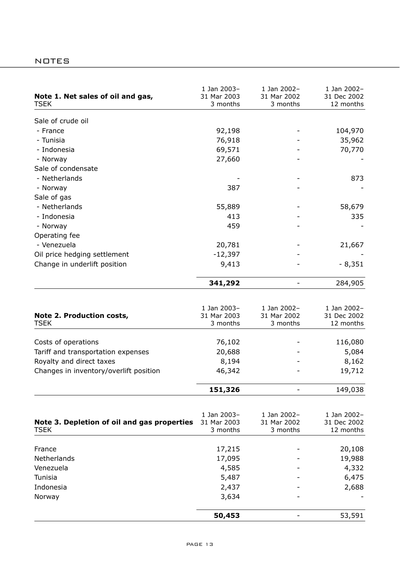| Note 1. Net sales of oil and gas,<br>TSEK   | 1 Jan 2003-<br>31 Mar 2003<br>3 months | 1 Jan 2002-<br>31 Mar 2002<br>3 months | 1 Jan 2002-<br>31 Dec 2002<br>12 months |
|---------------------------------------------|----------------------------------------|----------------------------------------|-----------------------------------------|
| Sale of crude oil                           |                                        |                                        |                                         |
| - France                                    | 92,198                                 |                                        | 104,970                                 |
| - Tunisia                                   | 76,918                                 |                                        | 35,962                                  |
| - Indonesia                                 | 69,571                                 |                                        | 70,770                                  |
| - Norway                                    | 27,660                                 |                                        |                                         |
| Sale of condensate                          |                                        |                                        |                                         |
| - Netherlands                               |                                        |                                        | 873                                     |
| - Norway                                    | 387                                    |                                        |                                         |
| Sale of gas                                 |                                        |                                        |                                         |
| - Netherlands                               | 55,889                                 |                                        | 58,679                                  |
| - Indonesia                                 | 413                                    |                                        | 335                                     |
| - Norway                                    | 459                                    |                                        |                                         |
| Operating fee                               |                                        |                                        |                                         |
| - Venezuela                                 | 20,781                                 |                                        |                                         |
| Oil price hedging settlement                | $-12,397$                              |                                        | 21,667                                  |
|                                             |                                        |                                        |                                         |
| Change in underlift position                | 9,413                                  |                                        | - 8,351                                 |
|                                             | 341,292                                | $\overline{a}$                         | 284,905                                 |
|                                             |                                        |                                        |                                         |
|                                             | 1 Jan 2003-                            | 1 Jan 2002-                            | 1 Jan 2002-                             |
| Note 2. Production costs,                   | 31 Mar 2003                            | 31 Mar 2002                            | 31 Dec 2002                             |
| TSEK                                        | 3 months                               | 3 months                               | 12 months                               |
| Costs of operations                         | 76,102                                 |                                        | 116,080                                 |
| Tariff and transportation expenses          | 20,688                                 |                                        | 5,084                                   |
| Royalty and direct taxes                    | 8,194                                  |                                        | 8,162                                   |
| Changes in inventory/overlift position      | 46,342                                 |                                        | 19,712                                  |
|                                             |                                        |                                        |                                         |
|                                             | 151,326                                | $\overline{a}$                         | 149,038                                 |
|                                             |                                        |                                        |                                         |
|                                             | 1 Jan 2003-                            | 1 Jan 2002-                            | 1 Jan 2002-                             |
| Note 3. Depletion of oil and gas properties | 31 Mar 2003                            | 31 Mar 2002                            | 31 Dec 2002                             |
| TSEK                                        | 3 months                               | 3 months                               | 12 months                               |
| France                                      |                                        |                                        |                                         |
| Netherlands                                 | 17,215<br>17,095                       |                                        | 20,108<br>19,988                        |
|                                             |                                        |                                        |                                         |
| Venezuela<br>Tunisia                        | 4,585<br>5,487                         |                                        | 4,332<br>6,475                          |
|                                             |                                        |                                        |                                         |
| Indonesia                                   | 2,437                                  |                                        | 2,688                                   |
| Norway                                      | 3,634                                  |                                        |                                         |
|                                             |                                        |                                        |                                         |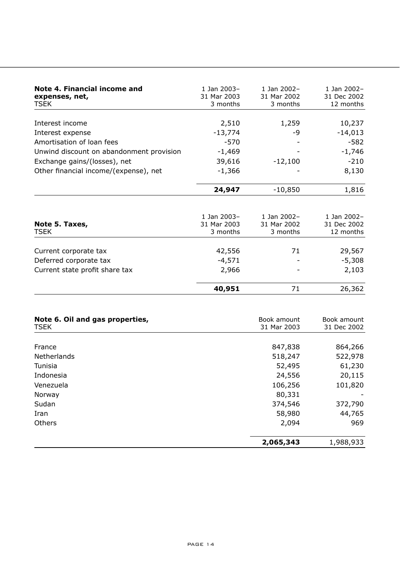| Note 4. Financial income and<br>expenses, net,<br>TSEK | 1 Jan 2003-<br>31 Mar 2003<br>3 months | 1 $1an 2002 -$<br>31 Mar 2002<br>3 months | 1 Jan 2002-<br>31 Dec 2002<br>12 months |
|--------------------------------------------------------|----------------------------------------|-------------------------------------------|-----------------------------------------|
|                                                        |                                        |                                           |                                         |
| Interest income                                        | 2,510                                  | 1,259                                     | 10,237                                  |
| Interest expense                                       | $-13,774$                              | -9                                        | $-14,013$                               |
| Amortisation of loan fees                              | $-570$                                 |                                           | $-582$                                  |
| Unwind discount on abandonment provision               | $-1,469$                               |                                           | $-1,746$                                |
| Exchange gains/(losses), net                           | 39,616                                 | $-12,100$                                 | $-210$                                  |
| Other financial income/(expense), net                  | $-1,366$                               |                                           | 8,130                                   |
|                                                        | 24,947                                 | $-10,850$                                 | 1,816                                   |
|                                                        | 1 Jan 2003-                            | 1 Jan 2002-                               | 1 Jan 2002-                             |
| Note 5. Taxes,                                         | 31 Mar 2003                            | 31 Mar 2002                               | 31 Dec 2002                             |
| TSEK                                                   | 3 months                               | 3 months                                  | 12 months                               |
| Current corporate tax                                  | 42,556                                 | 71                                        | 29,567                                  |
| Deferred corporate tax                                 | $-4,571$                               |                                           | $-5,308$                                |
| Current state profit share tax                         | 2,966                                  |                                           | 2,103                                   |
|                                                        | 40,951                                 | 71                                        | 26,362                                  |

| Note 6. Oil and gas properties,<br><b>TSEK</b> | Book amount<br>31 Mar 2003 | Book amount<br>31 Dec 2002 |  |
|------------------------------------------------|----------------------------|----------------------------|--|
|                                                |                            |                            |  |
| France                                         | 847,838                    | 864,266                    |  |
| Netherlands                                    | 518,247                    | 522,978                    |  |
| Tunisia                                        | 52,495                     | 61,230                     |  |
| Indonesia                                      | 24,556                     | 20,115                     |  |
| Venezuela                                      | 106,256                    | 101,820                    |  |
| Norway                                         | 80,331                     |                            |  |
| Sudan                                          | 374,546                    | 372,790                    |  |
| Iran                                           | 58,980                     | 44,765                     |  |
| Others                                         | 2,094                      | 969                        |  |
|                                                | 2,065,343                  | 1,988,933                  |  |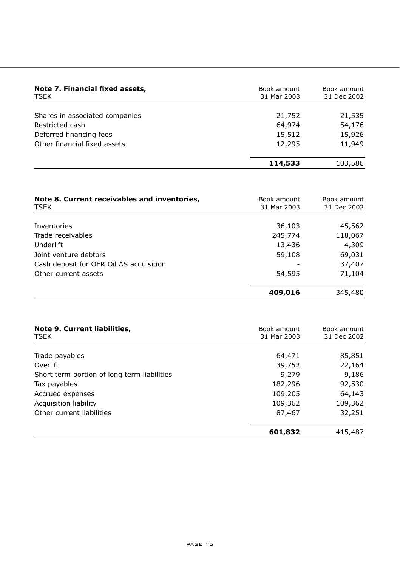| Note 7. Financial fixed assets,<br>TSEK | Book amount<br>Book amount<br>31 Mar 2003<br>31 Dec 2002 |         |  |
|-----------------------------------------|----------------------------------------------------------|---------|--|
| Shares in associated companies          | 21,752                                                   | 21,535  |  |
| Restricted cash                         | 64,974                                                   | 54,176  |  |
| Deferred financing fees                 | 15,512                                                   | 15,926  |  |
| Other financial fixed assets            | 12,295                                                   | 11,949  |  |
|                                         | 114,533                                                  | 103,586 |  |

| Note 8. Current receivables and inventories,<br>TSEK | Book amount<br>31 Mar 2003 | Book amount<br>31 Dec 2002 |
|------------------------------------------------------|----------------------------|----------------------------|
|                                                      |                            |                            |
| Inventories                                          | 36,103                     | 45,562                     |
| Trade receivables                                    | 245,774                    | 118,067                    |
| Underlift                                            | 13,436                     | 4,309                      |
| Joint venture debtors                                | 59,108                     | 69,031                     |
| Cash deposit for OER Oil AS acquisition              |                            | 37,407                     |
| Other current assets                                 | 54,595                     | 71,104                     |
|                                                      | 409,016                    | 345,480                    |

| Note 9. Current liabilities,<br><b>TSEK</b> | Book amount<br>31 Mar 2003 | Book amount<br>31 Dec 2002 |
|---------------------------------------------|----------------------------|----------------------------|
|                                             |                            |                            |
| Trade payables                              | 64,471                     | 85,851                     |
| Overlift                                    | 39,752                     | 22,164                     |
| Short term portion of long term liabilities | 9,279                      | 9,186                      |
| Tax payables                                | 182,296                    | 92,530                     |
| Accrued expenses                            | 109,205                    | 64,143                     |
| Acquisition liability                       | 109,362                    | 109,362                    |
| Other current liabilities                   | 87,467                     | 32,251                     |
|                                             | 601,832                    | 415,487                    |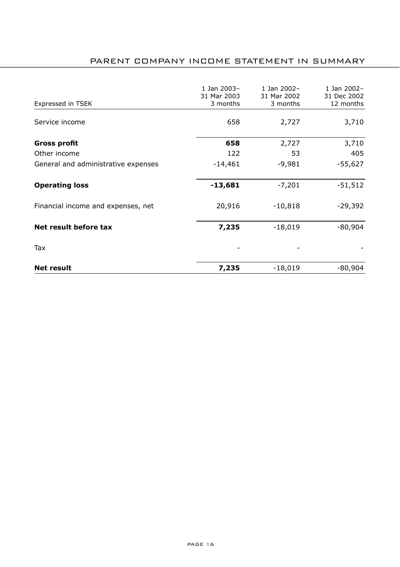# PARENT COMPANY INCOME STATEMENT IN SUMMARY

| Expressed in TSEK                   | 1 Jan 2003-<br>31 Mar 2003<br>3 months | 1 Jan 2002-<br>31 Mar 2002<br>3 months | 1 Jan 2002-<br>31 Dec 2002<br>12 months |
|-------------------------------------|----------------------------------------|----------------------------------------|-----------------------------------------|
| Service income                      | 658                                    | 2,727                                  | 3,710                                   |
| Gross profit                        | 658                                    | 2,727                                  | 3,710                                   |
| Other income                        | 122                                    | 53                                     | 405                                     |
| General and administrative expenses | $-14,461$                              | $-9,981$                               | -55,627                                 |
| <b>Operating loss</b>               | -13,681                                | $-7,201$                               | -51,512                                 |
| Financial income and expenses, net  | 20,916                                 | $-10,818$                              | $-29,392$                               |
| Net result before tax               | 7,235                                  | $-18,019$                              | $-80,904$                               |
| Tax                                 |                                        |                                        |                                         |
| <b>Net result</b>                   | 7,235                                  | $-18,019$                              | $-80,904$                               |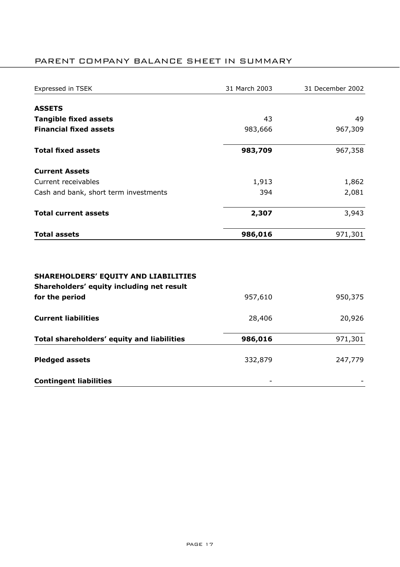# PARENT COMPANY BALANCE SHEET IN SUMMARY

| Expressed in TSEK                                                                        | 31 March 2003 | 31 December 2002 |
|------------------------------------------------------------------------------------------|---------------|------------------|
| <b>ASSETS</b>                                                                            |               |                  |
| <b>Tangible fixed assets</b>                                                             | 43            | 49               |
| <b>Financial fixed assets</b>                                                            | 983,666       | 967,309          |
| <b>Total fixed assets</b>                                                                | 983,709       | 967,358          |
| <b>Current Assets</b>                                                                    |               |                  |
| Current receivables                                                                      | 1,913         | 1,862            |
| Cash and bank, short term investments                                                    | 394           | 2,081            |
| <b>Total current assets</b>                                                              | 2,307         | 3,943            |
| <b>Total assets</b>                                                                      | 986,016       | 971,301          |
| <b>SHAREHOLDERS' EQUITY AND LIABILITIES</b><br>Shareholders' equity including net result |               |                  |
| for the period                                                                           | 957,610       | 950,375          |
| <b>Current liabilities</b>                                                               | 28,406        | 20,926           |
| Total shareholders' equity and liabilities                                               | 986,016       | 971,301          |
| <b>Pledged assets</b>                                                                    | 332,879       | 247,779          |
| <b>Contingent liabilities</b>                                                            |               |                  |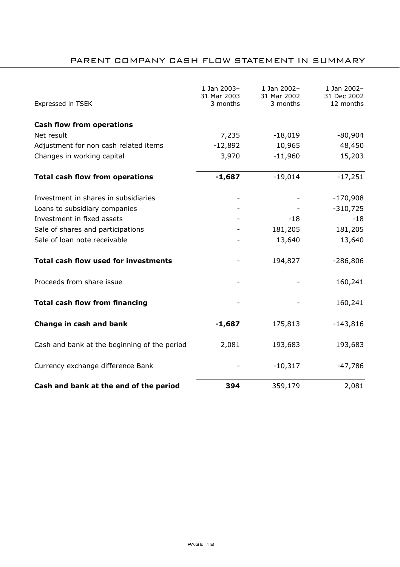# PARENT COMPANY CASH FLOW STATEMENT IN SUMMARY

| Expressed in TSEK                            | 1 Jan 2003-<br>31 Mar 2003<br>3 months | 1 Jan 2002-<br>31 Mar 2002<br>3 months | 1 Jan 2002-<br>31 Dec 2002<br>12 months |
|----------------------------------------------|----------------------------------------|----------------------------------------|-----------------------------------------|
|                                              |                                        |                                        |                                         |
| <b>Cash flow from operations</b>             |                                        |                                        |                                         |
| Net result                                   | 7,235                                  | $-18,019$                              | $-80,904$                               |
| Adjustment for non cash related items        | $-12,892$                              | 10,965                                 | 48,450                                  |
| Changes in working capital                   | 3,970                                  | $-11,960$                              | 15,203                                  |
| <b>Total cash flow from operations</b>       | $-1,687$                               | $-19,014$                              | $-17,251$                               |
| Investment in shares in subsidiaries         |                                        |                                        | $-170,908$                              |
| Loans to subsidiary companies                |                                        |                                        | $-310,725$                              |
| Investment in fixed assets                   |                                        | $-18$                                  | $-18$                                   |
| Sale of shares and participations            |                                        | 181,205                                | 181,205                                 |
| Sale of loan note receivable                 |                                        | 13,640                                 | 13,640                                  |
| <b>Total cash flow used for investments</b>  |                                        | 194,827                                | $-286,806$                              |
| Proceeds from share issue                    |                                        |                                        | 160,241                                 |
| <b>Total cash flow from financing</b>        |                                        |                                        | 160,241                                 |
| Change in cash and bank                      | $-1,687$                               | 175,813                                | $-143,816$                              |
| Cash and bank at the beginning of the period | 2,081                                  | 193,683                                | 193,683                                 |
| Currency exchange difference Bank            |                                        | $-10,317$                              | $-47,786$                               |
| Cash and bank at the end of the period       | 394                                    | 359,179                                | 2,081                                   |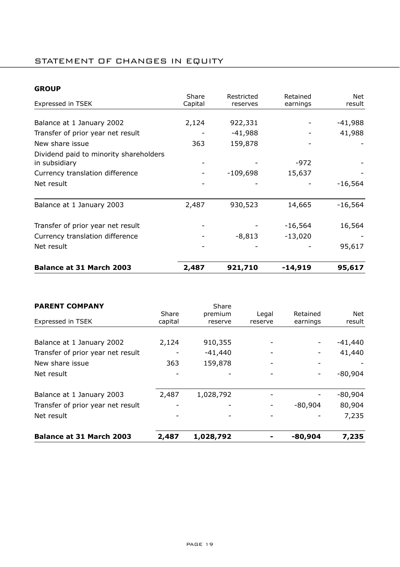## STATEMENT OF CHANGES IN EQUITY

## **GROUP**

|                                                         | Share   | Restricted | Retained  | Net       |
|---------------------------------------------------------|---------|------------|-----------|-----------|
| Expressed in TSEK                                       | Capital | reserves   | earnings  | result    |
|                                                         |         |            |           |           |
| Balance at 1 January 2002                               | 2,124   | 922,331    |           | -41,988   |
| Transfer of prior year net result                       |         | $-41,988$  |           | 41,988    |
| New share issue                                         | 363     | 159,878    |           |           |
| Dividend paid to minority shareholders<br>in subsidiary |         |            | -972      |           |
| Currency translation difference                         |         | $-109,698$ | 15,637    |           |
| Net result                                              |         |            |           | $-16,564$ |
| Balance at 1 January 2003                               | 2,487   | 930,523    | 14,665    | $-16,564$ |
| Transfer of prior year net result                       |         |            | $-16,564$ | 16,564    |
| Currency translation difference                         |         | $-8,813$   | $-13,020$ |           |
| Net result                                              |         |            |           | 95,617    |
| <b>Balance at 31 March 2003</b>                         | 2,487   | 921,710    | -14,919   | 95,617    |

| Balance at 31 March 2003          | 2,487   | 1,028,792        |         | -80,904   | 7,235     |
|-----------------------------------|---------|------------------|---------|-----------|-----------|
| Net result                        |         |                  |         |           | 7,235     |
| Transfer of prior year net result |         |                  |         | $-80.904$ | 80,904    |
| Balance at 1 January 2003         | 2,487   | 1,028,792        |         |           | $-80,904$ |
| Net result                        |         |                  |         |           | $-80,904$ |
| New share issue                   | 363     | 159,878          |         |           |           |
| Transfer of prior year net result |         | $-41,440$        |         |           | 41,440    |
| Balance at 1 January 2002         | 2,124   | 910,355          |         |           | $-41,440$ |
| Expressed in TSEK                 | capital | reserve          | reserve | earnings  | result    |
| <b>PARENT COMPANY</b>             | Share   | Share<br>premium | Legal   | Retained  | Net       |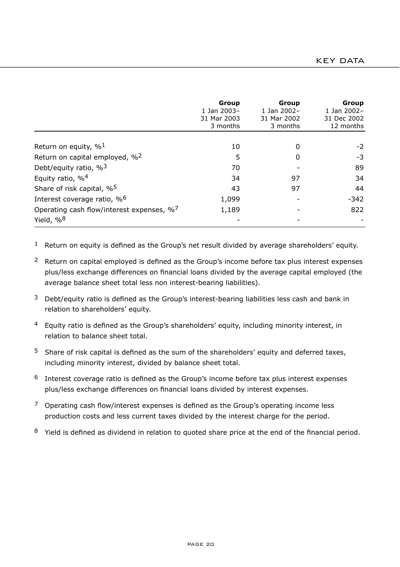|                                                                       | Group<br>1 Jan 2003-<br>31 Mar 2003<br>3 months | Group<br>1 Jan 2002-<br>31 Mar 2002<br>3 months | Group<br>1 Jan 2002-<br>31 Dec 2002<br>12 months |
|-----------------------------------------------------------------------|-------------------------------------------------|-------------------------------------------------|--------------------------------------------------|
| Return on equity, $\%$ <sup>1</sup>                                   | 10                                              | $\Omega$                                        | $-2$                                             |
| Return on capital employed, % <sup>2</sup>                            | 5                                               | O                                               | -3                                               |
| Debt/equity ratio, $\%$ <sup>3</sup>                                  | 70                                              |                                                 | 89                                               |
| Equity ratio, % <sup>4</sup>                                          | 34                                              | 97                                              | 34                                               |
| Share of risk capital, % <sup>5</sup>                                 | 43                                              | 97                                              | 44                                               |
| Interest coverage ratio, % <sup>6</sup>                               | 1,099                                           |                                                 | $-342$                                           |
| Operating cash flow/interest expenses, %7<br>Yield, $\%$ <sup>8</sup> | 1,189                                           |                                                 | 822                                              |

 $1$  Return on equity is defined as the Group's net result divided by average shareholders' equity.

- <sup>2</sup> Return on capital employed is defined as the Group's income before tax plus interest expenses plus/less exchange differences on financial loans divided by the average capital employed (the average balance sheet total less non interest-bearing liabilities).
- $3$  Debt/equity ratio is defined as the Group's interest-bearing liabilities less cash and bank in relation to shareholders' equity.
- $4$  Equity ratio is defined as the Group's shareholders' equity, including minority interest, in relation to balance sheet total.
- $5$  Share of risk capital is defined as the sum of the shareholders' equity and deferred taxes, including minority interest, divided by balance sheet total.
- $6$  Interest coverage ratio is defined as the Group's income before tax plus interest expenses plus/less exchange differences on financial loans divided by interest expenses.
- $7$  Operating cash flow/interest expenses is defined as the Group's operating income less production costs and less current taxes divided by the interest charge for the period.
- 8 Yield is defined as dividend in relation to quoted share price at the end of the financial period.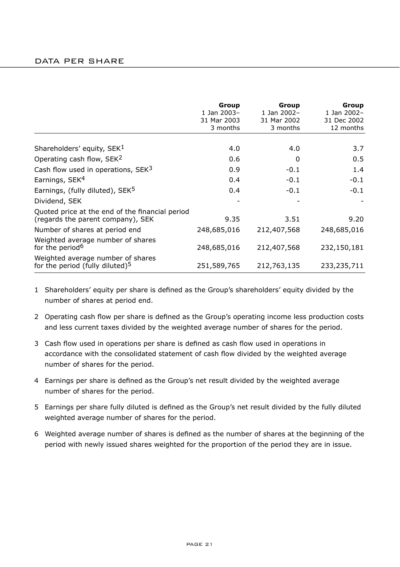## DATA PER SHARE

|                                                                                      | Group<br>1 Jan 2003-<br>31 Mar 2003<br>3 months | Group<br>1 Jan 2002-<br>31 Mar 2002<br>3 months | Group<br>1 Jan 2002-<br>31 Dec 2002<br>12 months |
|--------------------------------------------------------------------------------------|-------------------------------------------------|-------------------------------------------------|--------------------------------------------------|
|                                                                                      |                                                 |                                                 |                                                  |
| Shareholders' equity, SEK <sup>1</sup>                                               | 4.0                                             | 4.0                                             | 3.7                                              |
| Operating cash flow, SEK <sup>2</sup>                                                | 0.6                                             | 0                                               | 0.5                                              |
| Cash flow used in operations, SEK <sup>3</sup>                                       | 0.9                                             | $-0.1$                                          | 1.4                                              |
| Earnings, SEK <sup>4</sup>                                                           | 0.4                                             | $-0.1$                                          | $-0.1$                                           |
| Earnings, (fully diluted), SEK <sup>5</sup>                                          | 0.4                                             | $-0.1$                                          | $-0.1$                                           |
| Dividend, SEK                                                                        |                                                 |                                                 |                                                  |
| Quoted price at the end of the financial period<br>(regards the parent company), SEK | 9.35                                            | 3.51                                            | 9.20                                             |
| Number of shares at period end                                                       | 248,685,016                                     | 212,407,568                                     | 248,685,016                                      |
| Weighted average number of shares<br>for the period <sup>6</sup>                     | 248,685,016                                     | 212,407,568                                     | 232,150,181                                      |
| Weighted average number of shares<br>for the period (fully diluted) <sup>5</sup>     | 251,589,765                                     | 212,763,135                                     | 233,235,711                                      |

- 1 Shareholders' equity per share is defined as the Group's shareholders' equity divided by the number of shares at period end.
- 2 Operating cash flow per share is defined as the Groupís operating income less production costs and less current taxes divided by the weighted average number of shares for the period.
- 3 Cash flow used in operations per share is defined as cash flow used in operations in accordance with the consolidated statement of cash flow divided by the weighted average number of shares for the period.
- 4 Earnings per share is defined as the Groupís net result divided by the weighted average number of shares for the period.
- 5 Earnings per share fully diluted is defined as the Groupís net result divided by the fully diluted weighted average number of shares for the period.
- 6 Weighted average number of shares is defined as the number of shares at the beginning of the period with newly issued shares weighted for the proportion of the period they are in issue.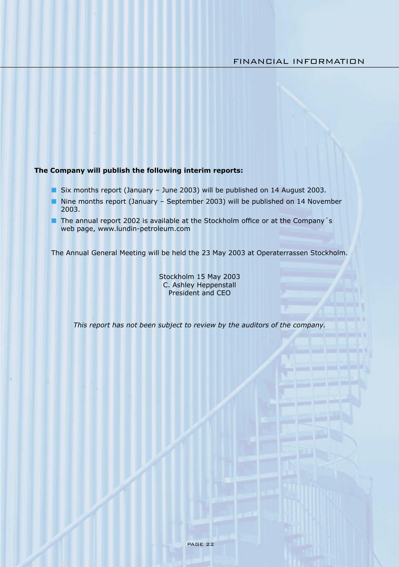### **The Company will publish the following interim reports:**

- Six months report (January June 2003) will be published on 14 August 2003.
- Nine months report (January September 2003) will be published on 14 November 2003.
- The annual report 2002 is available at the Stockholm office or at the Company's web page, www.lundin-petroleum.com

The Annual General Meeting will be held the 23 May 2003 at Operaterrassen Stockholm.

Stockholm 15 May 2003 C. Ashley Heppenstall President and CEO

*This report has not been subject to review by the auditors of the company.*